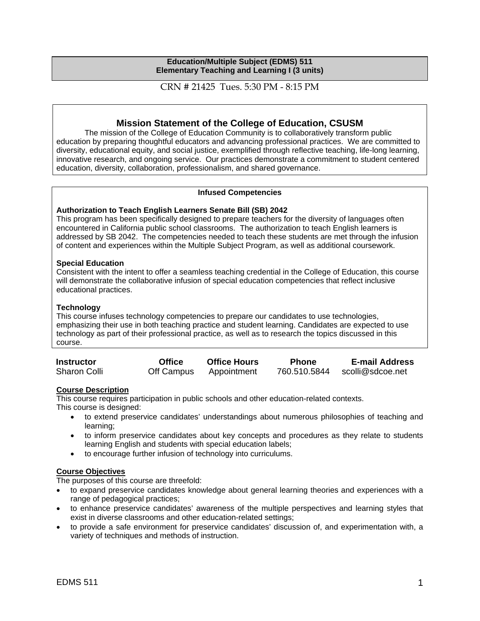#### **Education/Multiple Subject (EDMS) 511 Elementary Teaching and Learning I (3 units)**

CRN # 21425 Tues. 5:30 PM - 8:15 PM

# **Mission Statement of the College of Education, CSUSM**

The mission of the College of Education Community is to collaboratively transform public education by preparing thoughtful educators and advancing professional practices. We are committed to diversity, educational equity, and social justice, exemplified through reflective teaching, life-long learning, innovative research, and ongoing service. Our practices demonstrate a commitment to student centered education, diversity, collaboration, professionalism, and shared governance.

#### **Infused Competencies**

#### **Authorization to Teach English Learners Senate Bill (SB) 2042**

This program has been specifically designed to prepare teachers for the diversity of languages often encountered in California public school classrooms. The authorization to teach English learners is addressed by SB 2042. The competencies needed to teach these students are met through the infusion of content and experiences within the Multiple Subject Program, as well as additional coursework.

#### **Special Education**

Consistent with the intent to offer a seamless teaching credential in the College of Education, this course will demonstrate the collaborative infusion of special education competencies that reflect inclusive educational practices.

#### **Technology**

This course infuses technology competencies to prepare our candidates to use technologies, emphasizing their use in both teaching practice and student learning. Candidates are expected to use technology as part of their professional practice, as well as to research the topics discussed in this course.

| <b>Instructor</b>   | <b>Office</b> | <b>Office Hours</b> | <b>Phone</b> | <b>E-mail Address</b> |
|---------------------|---------------|---------------------|--------------|-----------------------|
| <b>Sharon Colli</b> | Off Campus    | Appointment         | 760.510.5844 | scolli@sdcoe.net      |

#### **Course Description**

This course requires participation in public schools and other education-related contexts. This course is designed:

- to extend preservice candidates' understandings about numerous philosophies of teaching and learning;
- to inform preservice candidates about key concepts and procedures as they relate to students learning English and students with special education labels;
- to encourage further infusion of technology into curriculums.

#### **Course Objectives**

The purposes of this course are threefold:

- to expand preservice candidates knowledge about general learning theories and experiences with a range of pedagogical practices;
- to enhance preservice candidates' awareness of the multiple perspectives and learning styles that exist in diverse classrooms and other education-related settings;
- to provide a safe environment for preservice candidates' discussion of, and experimentation with, a variety of techniques and methods of instruction.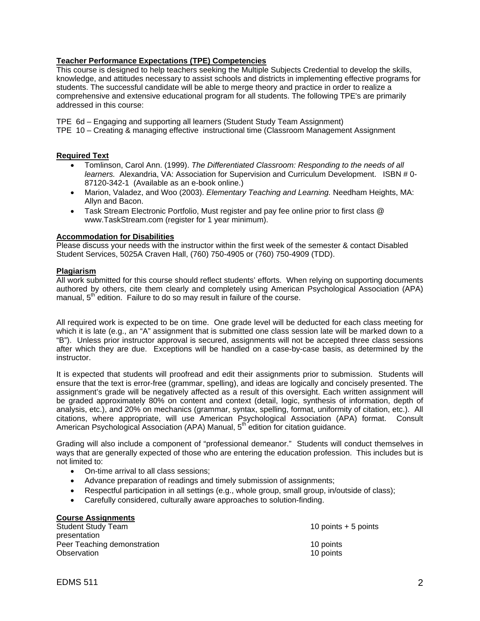### **Teacher Performance Expectations (TPE) Competencies**

This course is designed to help teachers seeking the Multiple Subjects Credential to develop the skills, knowledge, and attitudes necessary to assist schools and districts in implementing effective programs for students. The successful candidate will be able to merge theory and practice in order to realize a comprehensive and extensive educational program for all students. The following TPE's are primarily addressed in this course:

TPE 6d – Engaging and supporting all learners (Student Study Team Assignment)

TPE 10 – Creating & managing effective instructional time (Classroom Management Assignment

#### **Required Text**

- Tomlinson, Carol Ann. (1999). *The Differentiated Classroom: Responding to the needs of all learners.* Alexandria, VA: Association for Supervision and Curriculum Development. ISBN # 0- 87120-342-1 (Available as an e-book online.)
- Marion, Valadez, and Woo (2003). *Elementary Teaching and Learning.* Needham Heights, MA: Allyn and Bacon.
- Task Stream Electronic Portfolio, Must register and pay fee online prior to first class @ www.TaskStream.com (register for 1 year minimum).

#### **Accommodation for Disabilities**

Please discuss your needs with the instructor within the first week of the semester & contact Disabled Student Services, 5025A Craven Hall, (760) 750-4905 or (760) 750-4909 (TDD).

#### **Plagiarism**

All work submitted for this course should reflect students' efforts. When relying on supporting documents authored by others, cite them clearly and completely using American Psychological Association (APA) manual,  $5<sup>th</sup>$  edition. Failure to do so may result in failure of the course.

All required work is expected to be on time. One grade level will be deducted for each class meeting for which it is late (e.g., an "A" assignment that is submitted one class session late will be marked down to a "B"). Unless prior instructor approval is secured, assignments will not be accepted three class sessions after which they are due. Exceptions will be handled on a case-by-case basis, as determined by the instructor.

It is expected that students will proofread and edit their assignments prior to submission. Students will ensure that the text is error-free (grammar, spelling), and ideas are logically and concisely presented. The assignment's grade will be negatively affected as a result of this oversight. Each written assignment will be graded approximately 80% on content and context (detail, logic, synthesis of information, depth of analysis, etc.), and 20% on mechanics (grammar, syntax, spelling, format, uniformity of citation, etc.). All citations, where appropriate, will use American Psychological Association (APA) format. Consult American Psychological Association (APA) Manual, 5<sup>th</sup> edition for citation guidance.

Grading will also include a component of "professional demeanor." Students will conduct themselves in ways that are generally expected of those who are entering the education profession. This includes but is not limited to:

- On-time arrival to all class sessions;
- Advance preparation of readings and timely submission of assignments;
- Respectful participation in all settings (e.g., whole group, small group, in/outside of class);
- Carefully considered, culturally aware approaches to solution-finding.

| <b>Course Assignments</b>   |                       |
|-----------------------------|-----------------------|
| <b>Student Study Team</b>   | 10 points $+5$ points |
| presentation                |                       |
| Peer Teaching demonstration | 10 points             |
| Observation                 | 10 points             |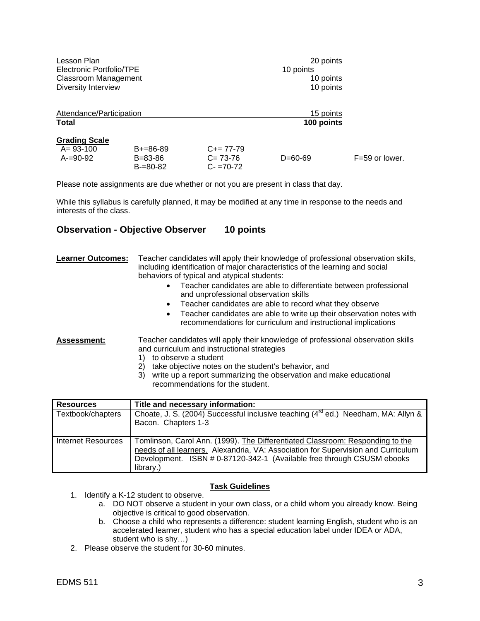| Lesson Plan<br>Electronic Portfolio/TPE<br><b>Classroom Management</b><br>Diversity Interview |                                        |                                             | 20 points<br>10 points<br>10 points<br>10 points |                    |
|-----------------------------------------------------------------------------------------------|----------------------------------------|---------------------------------------------|--------------------------------------------------|--------------------|
| Attendance/Participation<br>Total                                                             |                                        |                                             | 15 points<br>100 points                          |                    |
| <b>Grading Scale</b>                                                                          |                                        |                                             |                                                  |                    |
| $A = 93 - 100$<br>A-=90-92                                                                    | $B+=86-89$<br>B=83-86<br>$B = 80 - 82$ | $C+= 77-79$<br>$C = 73-76$<br>$C - 70 - 72$ | $D=60-69$                                        | $F = 59$ or lower. |

Please note assignments are due whether or not you are present in class that day.

While this syllabus is carefully planned, it may be modified at any time in response to the needs and interests of the class.

# **Observation - Objective Observer 10 points**

| <b>Learner Outcomes:</b> | Teacher candidates will apply their knowledge of professional observation skills,<br>including identification of major characteristics of the learning and social<br>behaviors of typical and atypical students:<br>Teacher candidates are able to differentiate between professional<br>and unprofessional observation skills<br>Teacher candidates are able to record what they observe<br>Teacher candidates are able to write up their observation notes with<br>recommendations for curriculum and instructional implications |
|--------------------------|------------------------------------------------------------------------------------------------------------------------------------------------------------------------------------------------------------------------------------------------------------------------------------------------------------------------------------------------------------------------------------------------------------------------------------------------------------------------------------------------------------------------------------|
| <b>Assessment:</b>       | Teacher candidates will apply their knowledge of professional observation skills<br>and curriculum and instructional strategies<br>to observe a student<br>take objective notes on the student's behavior, and<br>2)<br>write up a report summarizing the observation and make educational<br>3)<br>recommendations for the student.                                                                                                                                                                                               |

| <b>Resources</b>   | Title and necessary information:                                                                                                                                                                                                                          |
|--------------------|-----------------------------------------------------------------------------------------------------------------------------------------------------------------------------------------------------------------------------------------------------------|
| Textbook/chapters  | Choate, J. S. (2004) Successful inclusive teaching (4 <sup>rd</sup> ed.) Needham, MA: Allyn &<br>Bacon. Chapters 1-3                                                                                                                                      |
| Internet Resources | Tomlinson, Carol Ann. (1999). The Differentiated Classroom: Responding to the<br>needs of all learners. Alexandria, VA: Association for Supervision and Curriculum<br>Development. ISBN # 0-87120-342-1 (Available free through CSUSM ebooks<br>library.) |

#### **Task Guidelines**

- 1. Identify a K-12 student to observe.
	- a. DO NOT observe a student in your own class, or a child whom you already know. Being objective is critical to good observation.
	- b. Choose a child who represents a difference: student learning English, student who is an accelerated learner, student who has a special education label under IDEA or ADA, student who is shy…)
- 2. Please observe the student for 30-60 minutes.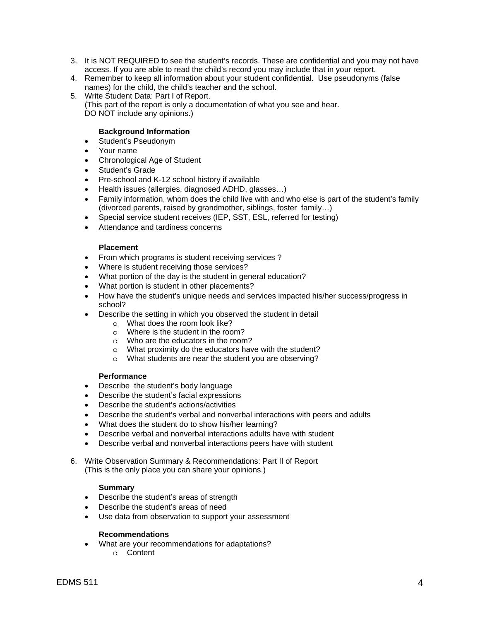- 3. It is NOT REQUIRED to see the student's records. These are confidential and you may not have access. If you are able to read the child's record you may include that in your report.
- 4. Remember to keep all information about your student confidential. Use pseudonyms (false names) for the child, the child's teacher and the school.
- 5. Write Student Data: Part I of Report.

(This part of the report is only a documentation of what you see and hear. DO NOT include any opinions.)

#### **Background Information**

- Student's Pseudonym
- Your name
- Chronological Age of Student
- Student's Grade
- Pre-school and K-12 school history if available
- Health issues (allergies, diagnosed ADHD, glasses…)
- Family information, whom does the child live with and who else is part of the student's family (divorced parents, raised by grandmother, siblings, foster family…)
- Special service student receives (IEP, SST, ESL, referred for testing)
- Attendance and tardiness concerns

#### **Placement**

- From which programs is student receiving services ?
- Where is student receiving those services?
- What portion of the day is the student in general education?
- What portion is student in other placements?
- How have the student's unique needs and services impacted his/her success/progress in school?
- Describe the setting in which you observed the student in detail
	- o What does the room look like?
	- o Where is the student in the room?
	- o Who are the educators in the room?
	- o What proximity do the educators have with the student?
	- o What students are near the student you are observing?

#### **Performance**

- Describe the student's body language
- Describe the student's facial expressions
- Describe the student's actions/activities
- Describe the student's verbal and nonverbal interactions with peers and adults
- What does the student do to show his/her learning?
- Describe verbal and nonverbal interactions adults have with student
- Describe verbal and nonverbal interactions peers have with student
- 6. Write Observation Summary & Recommendations: Part II of Report (This is the only place you can share your opinions.)

#### **Summary**

- Describe the student's areas of strength
- Describe the student's areas of need
- Use data from observation to support your assessment

#### **Recommendations**

- What are your recommendations for adaptations?
	- o Content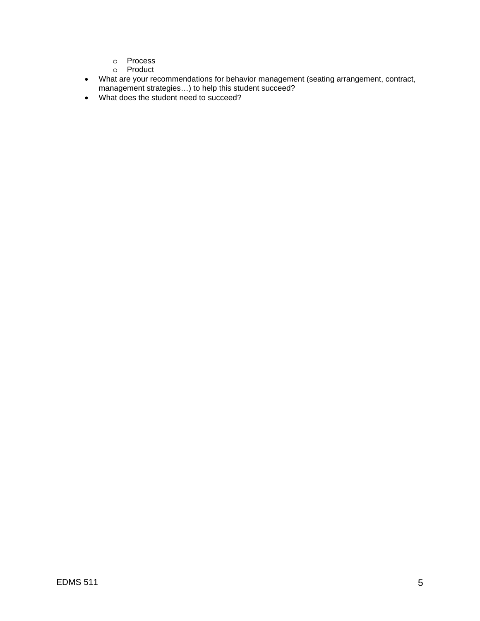- o Process
- o Product
- What are your recommendations for behavior management (seating arrangement, contract, management strategies…) to help this student succeed?
- What does the student need to succeed?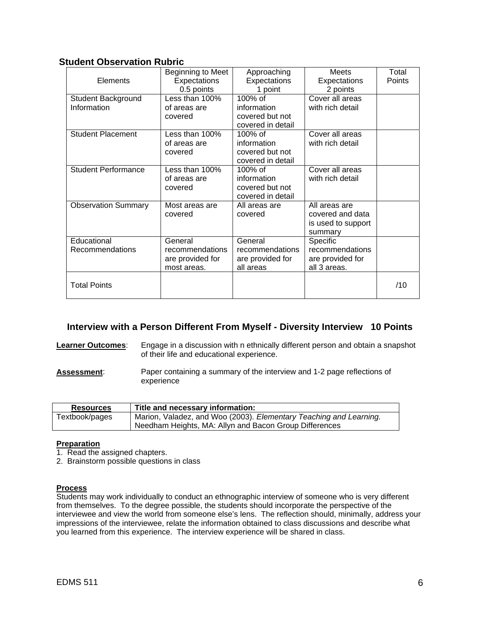# **Student Observation Rubric**

| Elements                          | Beginning to Meet<br>Expectations<br>0.5 points               | Approaching<br>Expectations<br>1 point                         | <b>Meets</b><br>Expectations<br>2 points                           | Total<br>Points |
|-----------------------------------|---------------------------------------------------------------|----------------------------------------------------------------|--------------------------------------------------------------------|-----------------|
| Student Background<br>Information | Less than 100%<br>of areas are<br>covered                     | 100% of<br>information<br>covered but not<br>covered in detail | Cover all areas<br>with rich detail                                |                 |
| <b>Student Placement</b>          | Less than 100%<br>of areas are<br>covered                     | 100% of<br>information<br>covered but not<br>covered in detail | Cover all areas<br>with rich detail                                |                 |
| <b>Student Performance</b>        | Less than 100%<br>of areas are<br>covered                     | 100% of<br>information<br>covered but not<br>covered in detail | Cover all areas<br>with rich detail                                |                 |
| <b>Observation Summary</b>        | Most areas are<br>covered                                     | All areas are<br>covered                                       | All areas are<br>covered and data<br>is used to support<br>summary |                 |
| Educational<br>Recommendations    | General<br>recommendations<br>are provided for<br>most areas. | General<br>recommendations<br>are provided for<br>all areas    | Specific<br>recommendations<br>are provided for<br>all 3 areas.    |                 |
| <b>Total Points</b>               |                                                               |                                                                |                                                                    | /10             |

# **Interview with a Person Different From Myself - Diversity Interview 10 Points**

#### **Learner Outcomes:** Engage in a discussion with n ethnically different person and obtain a snapshot of their life and educational experience.

**Assessment**: Paper containing a summary of the interview and 1-2 page reflections of experience

| <b>Resources</b> | Title and necessary information:                                   |
|------------------|--------------------------------------------------------------------|
| Textbook/pages   | Marion, Valadez, and Woo (2003). Elementary Teaching and Learning. |
|                  | Needham Heights, MA: Allyn and Bacon Group Differences             |

#### **Preparation**

- 1. Read the assigned chapters.
- 2. Brainstorm possible questions in class

#### **Process**

Students may work individually to conduct an ethnographic interview of someone who is very different from themselves. To the degree possible, the students should incorporate the perspective of the interviewee and view the world from someone else's lens. The reflection should, minimally, address your impressions of the interviewee, relate the information obtained to class discussions and describe what you learned from this experience. The interview experience will be shared in class.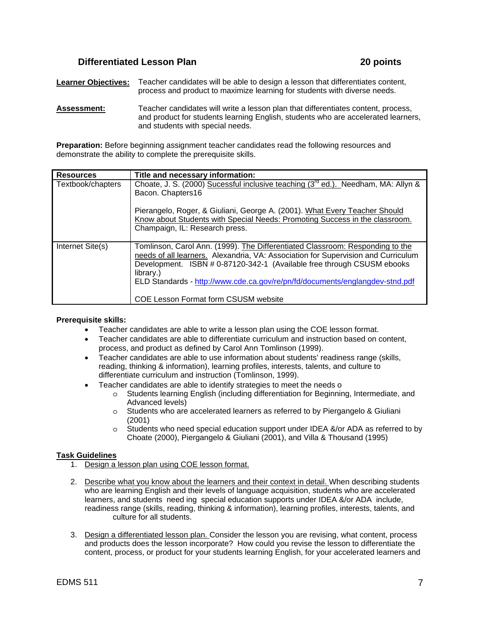# **Differentiated Lesson Plan 20 points** 20 points

**Learner Objectives:** Teacher candidates will be able to design a lesson that differentiates content, process and product to maximize learning for students with diverse needs.

**Assessment:** Teacher candidates will write a lesson plan that differentiates content, process, and product for students learning English, students who are accelerated learners, and students with special needs.

**Preparation:** Before beginning assignment teacher candidates read the following resources and demonstrate the ability to complete the prerequisite skills.

| <b>Resources</b>  | Title and necessary information:                                                                                                                                                                                                                                                                                                                                                         |
|-------------------|------------------------------------------------------------------------------------------------------------------------------------------------------------------------------------------------------------------------------------------------------------------------------------------------------------------------------------------------------------------------------------------|
| Textbook/chapters | Choate, J. S. (2000) Sucessful inclusive teaching (3 <sup>rd</sup> ed.). Needham, MA: Allyn &<br>Bacon. Chapters16                                                                                                                                                                                                                                                                       |
|                   | Pierangelo, Roger, & Giuliani, George A. (2001). What Every Teacher Should<br>Know about Students with Special Needs: Promoting Success in the classroom.<br>Champaign, IL: Research press.                                                                                                                                                                                              |
| Internet Site(s)  | Tomlinson, Carol Ann. (1999). The Differentiated Classroom: Responding to the<br>needs of all learners. Alexandria, VA: Association for Supervision and Curriculum<br>Development. ISBN # 0-87120-342-1 (Available free through CSUSM ebooks<br>library.)<br>ELD Standards - http://www.cde.ca.gov/re/pn/fd/documents/englangdev-stnd.pdf<br><b>COE Lesson Format form CSUSM website</b> |

#### **Prerequisite skills:**

- Teacher candidates are able to write a lesson plan using the COE lesson format.
- Teacher candidates are able to differentiate curriculum and instruction based on content, process, and product as defined by Carol Ann Tomlinson (1999).
- Teacher candidates are able to use information about students' readiness range (skills, reading, thinking & information), learning profiles, interests, talents, and culture to differentiate curriculum and instruction (Tomlinson, 1999).
	- Teacher candidates are able to identify strategies to meet the needs o
		- o Students learning English (including differentiation for Beginning, Intermediate, and Advanced levels)
		- o Students who are accelerated learners as referred to by Piergangelo & Giuliani (2001)
		- o Students who need special education support under IDEA &/or ADA as referred to by Choate (2000), Piergangelo & Giuliani (2001), and Villa & Thousand (1995)

#### **Task Guidelines**

- 1. Design a lesson plan using COE lesson format.
- 2. Describe what you know about the learners and their context in detail. When describing students who are learning English and their levels of language acquisition, students who are accelerated learners, and students need ing special education supports under IDEA &/or ADA include, readiness range (skills, reading, thinking & information), learning profiles, interests, talents, and culture for all students.
- 3. Design a differentiated lesson plan. Consider the lesson you are revising, what content, process and products does the lesson incorporate? How could you revise the lesson to differentiate the content, process, or product for your students learning English, for your accelerated learners and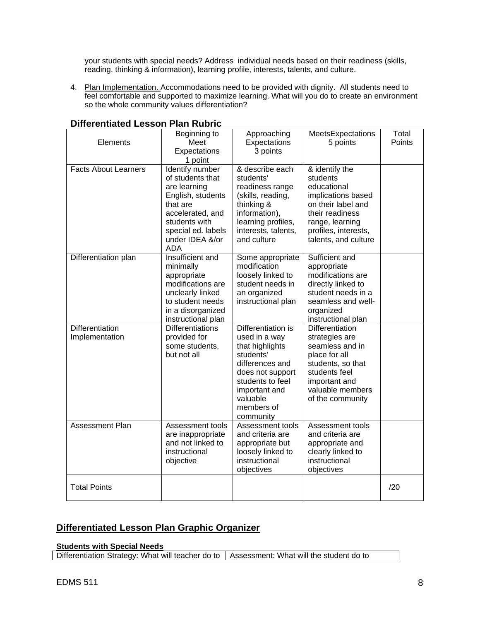your students with special needs? Address individual needs based on their readiness (skills, reading, thinking & information), learning profile, interests, talents, and culture.

4. Plan Implementation. Accommodations need to be provided with dignity. All students need to feel comfortable and supported to maximize learning. What will you do to create an environment so the whole community values differentiation?

| Elements                          | Beginning to<br>Meet<br>Expectations<br>1 point                                                                                                                                  | Approaching<br>Expectations<br>3 points                                                                                                                                                | MeetsExpectations<br>5 points                                                                                                                                               | Total<br>Points |
|-----------------------------------|----------------------------------------------------------------------------------------------------------------------------------------------------------------------------------|----------------------------------------------------------------------------------------------------------------------------------------------------------------------------------------|-----------------------------------------------------------------------------------------------------------------------------------------------------------------------------|-----------------|
| <b>Facts About Learners</b>       | Identify number<br>of students that<br>are learning<br>English, students<br>that are<br>accelerated, and<br>students with<br>special ed. labels<br>under IDEA &/or<br><b>ADA</b> | & describe each<br>students'<br>readiness range<br>(skills, reading,<br>thinking &<br>information),<br>learning profiles,<br>interests, talents,<br>and culture                        | & identify the<br>students<br>educational<br>implications based<br>on their label and<br>their readiness<br>range, learning<br>profiles, interests,<br>talents, and culture |                 |
| Differentiation plan              | Insufficient and<br>minimally<br>appropriate<br>modifications are<br>unclearly linked<br>to student needs<br>in a disorganized<br>instructional plan                             | Some appropriate<br>modification<br>loosely linked to<br>student needs in<br>an organized<br>instructional plan                                                                        | Sufficient and<br>appropriate<br>modifications are<br>directly linked to<br>student needs in a<br>seamless and well-<br>organized<br>instructional plan                     |                 |
| Differentiation<br>Implementation | <b>Differentiations</b><br>provided for<br>some students,<br>but not all                                                                                                         | Differentiation is<br>used in a way<br>that highlights<br>students'<br>differences and<br>does not support<br>students to feel<br>important and<br>valuable<br>members of<br>community | <b>Differentiation</b><br>strategies are<br>seamless and in<br>place for all<br>students, so that<br>students feel<br>important and<br>valuable members<br>of the community |                 |
| <b>Assessment Plan</b>            | Assessment tools<br>are inappropriate<br>and not linked to<br>instructional<br>objective                                                                                         | Assessment tools<br>and criteria are<br>appropriate but<br>loosely linked to<br>instructional<br>objectives                                                                            | Assessment tools<br>and criteria are<br>appropriate and<br>clearly linked to<br>instructional<br>objectives                                                                 |                 |
| <b>Total Points</b>               |                                                                                                                                                                                  |                                                                                                                                                                                        |                                                                                                                                                                             | /20             |

# **Differentiated Lesson Plan Rubric**

# **Differentiated Lesson Plan Graphic Organizer**

#### **Students with Special Needs**

Differentiation Strategy: What will teacher do to | Assessment: What will the student do to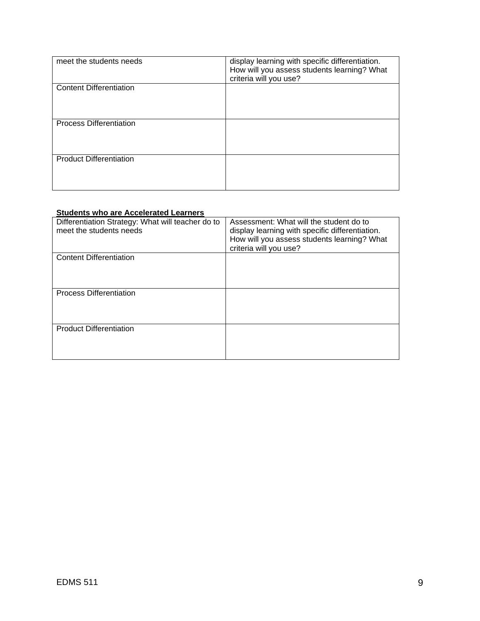| meet the students needs        | display learning with specific differentiation.<br>How will you assess students learning? What<br>criteria will you use? |
|--------------------------------|--------------------------------------------------------------------------------------------------------------------------|
| <b>Content Differentiation</b> |                                                                                                                          |
| <b>Process Differentiation</b> |                                                                                                                          |
| <b>Product Differentiation</b> |                                                                                                                          |

#### **Students who are Accelerated Learners**

| Differentiation Strategy: What will teacher do to<br>meet the students needs | Assessment: What will the student do to<br>display learning with specific differentiation.<br>How will you assess students learning? What<br>criteria will you use? |
|------------------------------------------------------------------------------|---------------------------------------------------------------------------------------------------------------------------------------------------------------------|
| <b>Content Differentiation</b>                                               |                                                                                                                                                                     |
| <b>Process Differentiation</b>                                               |                                                                                                                                                                     |
| <b>Product Differentiation</b>                                               |                                                                                                                                                                     |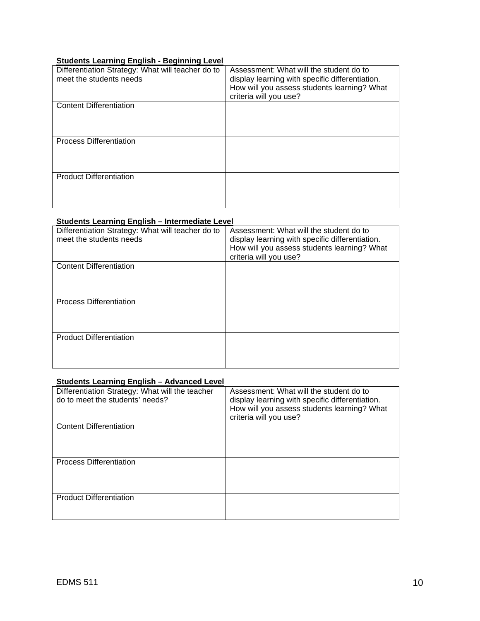### **Students Learning English - Beginning Level**

| Differentiation Strategy: What will teacher do to<br>meet the students needs | Assessment: What will the student do to<br>display learning with specific differentiation.<br>How will you assess students learning? What<br>criteria will you use? |
|------------------------------------------------------------------------------|---------------------------------------------------------------------------------------------------------------------------------------------------------------------|
| <b>Content Differentiation</b>                                               |                                                                                                                                                                     |
| <b>Process Differentiation</b>                                               |                                                                                                                                                                     |
| <b>Product Differentiation</b>                                               |                                                                                                                                                                     |

#### **Students Learning English – Intermediate Level**

| Differentiation Strategy: What will teacher do to<br>meet the students needs | Assessment: What will the student do to<br>display learning with specific differentiation.<br>How will you assess students learning? What<br>criteria will you use? |
|------------------------------------------------------------------------------|---------------------------------------------------------------------------------------------------------------------------------------------------------------------|
| <b>Content Differentiation</b>                                               |                                                                                                                                                                     |
| <b>Process Differentiation</b>                                               |                                                                                                                                                                     |
| <b>Product Differentiation</b>                                               |                                                                                                                                                                     |

#### **Students Learning English – Advanced Level**

| Differentiation Strategy: What will the teacher<br>do to meet the students' needs? | Assessment: What will the student do to<br>display learning with specific differentiation.<br>How will you assess students learning? What<br>criteria will you use? |
|------------------------------------------------------------------------------------|---------------------------------------------------------------------------------------------------------------------------------------------------------------------|
| <b>Content Differentiation</b>                                                     |                                                                                                                                                                     |
| <b>Process Differentiation</b>                                                     |                                                                                                                                                                     |
| <b>Product Differentiation</b>                                                     |                                                                                                                                                                     |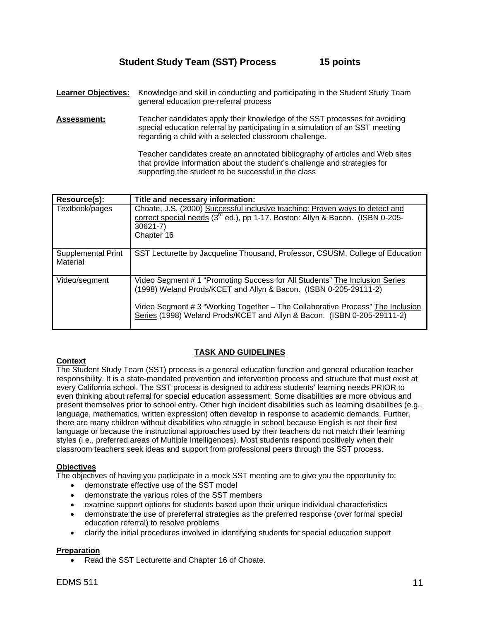# **Student Study Team (SST) Process 15 points**

- **Learner Objectives:** Knowledge and skill in conducting and participating in the Student Study Team general education pre-referral process
- **Assessment:** Teacher candidates apply their knowledge of the SST processes for avoiding special education referral by participating in a simulation of an SST meeting regarding a child with a selected classroom challenge.

Teacher candidates create an annotated bibliography of articles and Web sites that provide information about the student's challenge and strategies for supporting the student to be successful in the class

| Resource(s):                   | Title and necessary information:                                                                                                                                                                                                                                                                             |
|--------------------------------|--------------------------------------------------------------------------------------------------------------------------------------------------------------------------------------------------------------------------------------------------------------------------------------------------------------|
| Textbook/pages                 | Choate, J.S. (2000) Successful inclusive teaching: Proven ways to detect and<br>correct special needs (3 <sup>rd</sup> ed.), pp 1-17. Boston: Allyn & Bacon. (ISBN 0-205-<br>$30621 - 7$ )<br>Chapter 16                                                                                                     |
| Supplemental Print<br>Material | SST Lecturette by Jacqueline Thousand, Professor, CSUSM, College of Education                                                                                                                                                                                                                                |
| Video/segment                  | Video Segment # 1 "Promoting Success for All Students" The Inclusion Series<br>(1998) Weland Prods/KCET and Allyn & Bacon. (ISBN 0-205-29111-2)<br>Video Segment # 3 "Working Together – The Collaborative Process" The Inclusion<br>Series (1998) Weland Prods/KCET and Allyn & Bacon. (ISBN 0-205-29111-2) |

# **TASK AND GUIDELINES**

### **Context**

The Student Study Team (SST) process is a general education function and general education teacher responsibility. It is a state-mandated prevention and intervention process and structure that must exist at every California school. The SST process is designed to address students' learning needs PRIOR to even thinking about referral for special education assessment. Some disabilities are more obvious and present themselves prior to school entry. Other high incident disabilities such as learning disabilities (e.g., language, mathematics, written expression) often develop in response to academic demands. Further, there are many children without disabilities who struggle in school because English is not their first language or because the instructional approaches used by their teachers do not match their learning styles (i.e., preferred areas of Multiple Intelligences). Most students respond positively when their classroom teachers seek ideas and support from professional peers through the SST process.

### **Objectives**

The objectives of having you participate in a mock SST meeting are to give you the opportunity to:

- demonstrate effective use of the SST model
- demonstrate the various roles of the SST members
- examine support options for students based upon their unique individual characteristics
- demonstrate the use of prereferral strategies as the preferred response (over formal special education referral) to resolve problems
- clarify the initial procedures involved in identifying students for special education support

#### **Preparation**

Read the SST Lecturette and Chapter 16 of Choate.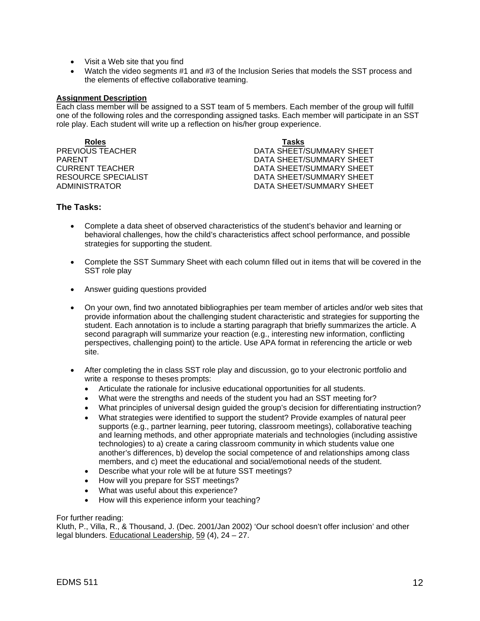- Visit a Web site that you find
- Watch the video segments #1 and #3 of the Inclusion Series that models the SST process and the elements of effective collaborative teaming.

#### **Assignment Description**

Each class member will be assigned to a SST team of 5 members. Each member of the group will fulfill one of the following roles and the corresponding assigned tasks. Each member will participate in an SST role play. Each student will write up a reflection on his/her group experience.

**Roles Tasks**

**PREVIOUS TEACHER CONSUMING A BUSIC SHEET/SUMMARY SHEET** PARENT DATA SHEET/SUMMARY SHEET CURRENT TEACHER DATA SHEET/SUMMARY SHEET DATA SHEET/SUMMARY SHEET ADMINISTRATOR DATA SHEET/SUMMARY SHEET

#### **The Tasks:**

- Complete a data sheet of observed characteristics of the student's behavior and learning or behavioral challenges, how the child's characteristics affect school performance, and possible strategies for supporting the student.
- Complete the SST Summary Sheet with each column filled out in items that will be covered in the SST role play
- Answer guiding questions provided
- On your own, find two annotated bibliographies per team member of articles and/or web sites that provide information about the challenging student characteristic and strategies for supporting the student. Each annotation is to include a starting paragraph that briefly summarizes the article. A second paragraph will summarize your reaction (e.g., interesting new information, conflicting perspectives, challenging point) to the article. Use APA format in referencing the article or web site.
- After completing the in class SST role play and discussion, go to your electronic portfolio and write a response to theses prompts:
	- Articulate the rationale for inclusive educational opportunities for all students.
	- What were the strengths and needs of the student you had an SST meeting for?
	- What principles of universal design guided the group's decision for differentiating instruction?
	- What strategies were identified to support the student? Provide examples of natural peer supports (e.g., partner learning, peer tutoring, classroom meetings), collaborative teaching and learning methods, and other appropriate materials and technologies (including assistive technologies) to a) create a caring classroom community in which students value one another's differences, b) develop the social competence of and relationships among class members, and c) meet the educational and social/emotional needs of the student.
	- Describe what your role will be at future SST meetings?
	- How will you prepare for SST meetings?
	- What was useful about this experience?
	- How will this experience inform your teaching?

#### For further reading:

Kluth, P., Villa, R., & Thousand, J. (Dec. 2001/Jan 2002) 'Our school doesn't offer inclusion' and other legal blunders. Educational Leadership, 59 (4), 24 – 27.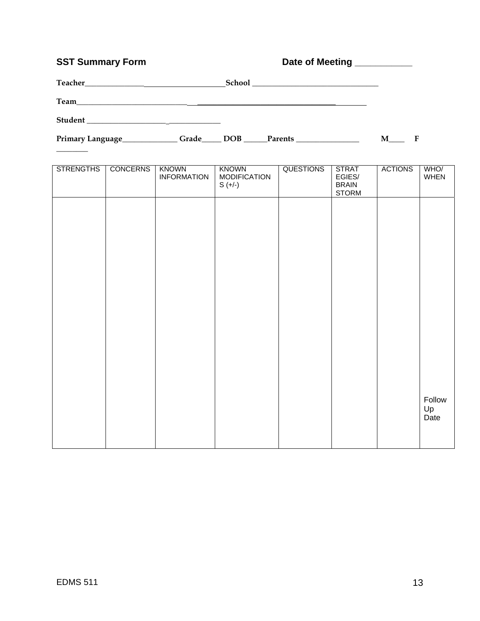# **SST Summary Form Date of Meeting**

 $\overline{\phantom{a}}$ 

| Date of Meeting |  |
|-----------------|--|
|                 |  |

| Teacher                                                  |       | School |         | <u> 1980 - Jan Stein Stein Stein Stein Stein Stein Stein Stein Stein Stein Stein Stein Stein Stein Stein Stein S</u> |  |
|----------------------------------------------------------|-------|--------|---------|----------------------------------------------------------------------------------------------------------------------|--|
| Team                                                     |       |        |         |                                                                                                                      |  |
| Student<br><u> 1986 - Jan Samuel Barbara, margaret e</u> |       |        |         |                                                                                                                      |  |
| Primary Language_                                        | Grade | DOB    | Parents |                                                                                                                      |  |

| <b>STRENGTHS</b> | <b>CONCERNS</b> | <b>KNOWN</b><br><b>INFORMATION</b> | <b>KNOWN</b><br><b>MODIFICATION</b><br>$S (+/-)$ | <b>QUESTIONS</b> | <b>STRAT</b><br>EGIES/<br><b>BRAIN</b><br><b>STORM</b> | <b>ACTIONS</b> | WHO/<br>WHEN         |
|------------------|-----------------|------------------------------------|--------------------------------------------------|------------------|--------------------------------------------------------|----------------|----------------------|
|                  |                 |                                    |                                                  |                  |                                                        |                |                      |
|                  |                 |                                    |                                                  |                  |                                                        |                |                      |
|                  |                 |                                    |                                                  |                  |                                                        |                |                      |
|                  |                 |                                    |                                                  |                  |                                                        |                |                      |
|                  |                 |                                    |                                                  |                  |                                                        |                |                      |
|                  |                 |                                    |                                                  |                  |                                                        |                |                      |
|                  |                 |                                    |                                                  |                  |                                                        |                | Follow<br>Up<br>Date |
|                  |                 |                                    |                                                  |                  |                                                        |                |                      |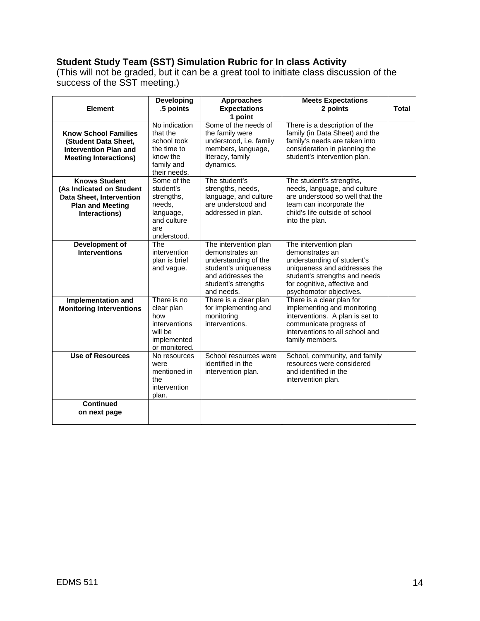# **Student Study Team (SST) Simulation Rubric for In class Activity**

(This will not be graded, but it can be a great tool to initiate class discussion of the success of the SST meeting.)

| <b>Element</b>                                                                                                           | <b>Developing</b><br>.5 points                                                                     | <b>Approaches</b><br><b>Expectations</b><br>1 point                                                                                                | <b>Meets Expectations</b><br>2 points                                                                                                                                                              | <b>Total</b> |
|--------------------------------------------------------------------------------------------------------------------------|----------------------------------------------------------------------------------------------------|----------------------------------------------------------------------------------------------------------------------------------------------------|----------------------------------------------------------------------------------------------------------------------------------------------------------------------------------------------------|--------------|
| <b>Know School Families</b><br>(Student Data Sheet,<br><b>Intervention Plan and</b><br><b>Meeting Interactions)</b>      | No indication<br>that the<br>school took<br>the time to<br>know the<br>family and<br>their needs.  | Some of the needs of<br>the family were<br>understood, i.e. family<br>members, language,<br>literacy, family<br>dynamics.                          | There is a description of the<br>family (in Data Sheet) and the<br>family's needs are taken into<br>consideration in planning the<br>student's intervention plan.                                  |              |
| <b>Knows Student</b><br>(As Indicated on Student<br>Data Sheet, Intervention<br><b>Plan and Meeting</b><br>Interactions) | Some of the<br>student's<br>strengths,<br>needs,<br>language,<br>and culture<br>are<br>understood. | The student's<br>strengths, needs,<br>language, and culture<br>are understood and<br>addressed in plan.                                            | The student's strengths,<br>needs, language, and culture<br>are understood so well that the<br>team can incorporate the<br>child's life outside of school<br>into the plan.                        |              |
| Development of<br><b>Interventions</b>                                                                                   | The<br>intervention<br>plan is brief<br>and vague.                                                 | The intervention plan<br>demonstrates an<br>understanding of the<br>student's uniqueness<br>and addresses the<br>student's strengths<br>and needs. | The intervention plan<br>demonstrates an<br>understanding of student's<br>uniqueness and addresses the<br>student's strengths and needs<br>for cognitive, affective and<br>psychomotor objectives. |              |
| Implementation and<br><b>Monitoring Interventions</b>                                                                    | There is no<br>clear plan<br>how<br>interventions<br>will be<br>implemented<br>or monitored.       | There is a clear plan<br>for implementing and<br>monitoring<br>interventions.                                                                      | There is a clear plan for<br>implementing and monitoring<br>interventions. A plan is set to<br>communicate progress of<br>interventions to all school and<br>family members.                       |              |
| <b>Use of Resources</b>                                                                                                  | No resources<br>were<br>mentioned in<br>the<br>intervention<br>plan.                               | School resources were<br>identified in the<br>intervention plan.                                                                                   | School, community, and family<br>resources were considered<br>and identified in the<br>intervention plan.                                                                                          |              |
| <b>Continued</b><br>on next page                                                                                         |                                                                                                    |                                                                                                                                                    |                                                                                                                                                                                                    |              |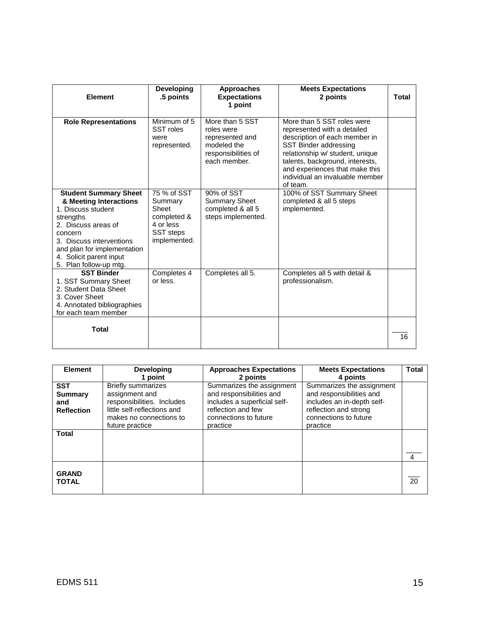| <b>Element</b>                                                                                                                                                                                                                              | Developing<br>.5 points                                                                         | <b>Approaches</b><br><b>Expectations</b><br>1 point                                                    | <b>Meets Expectations</b><br>2 points                                                                                                                                                                                                                                      | <b>Total</b> |
|---------------------------------------------------------------------------------------------------------------------------------------------------------------------------------------------------------------------------------------------|-------------------------------------------------------------------------------------------------|--------------------------------------------------------------------------------------------------------|----------------------------------------------------------------------------------------------------------------------------------------------------------------------------------------------------------------------------------------------------------------------------|--------------|
| <b>Role Representations</b>                                                                                                                                                                                                                 | Minimum of 5<br>SST roles<br>were<br>represented.                                               | More than 5 SST<br>roles were<br>represented and<br>modeled the<br>responsibilities of<br>each member. | More than 5 SST roles were<br>represented with a detailed<br>description of each member in<br>SST Binder addressing<br>relationship w/ student, unique<br>talents, background, interests,<br>and experiences that make this<br>individual an invaluable member<br>of team. |              |
| <b>Student Summary Sheet</b><br>& Meeting Interactions<br>1. Discuss student<br>strengths<br>2. Discuss areas of<br>concern<br>3. Discuss interventions<br>and plan for implementation<br>4. Solicit parent input<br>5. Plan follow-up mtg. | 75 % of SST<br>Summary<br>Sheet<br>completed &<br>4 or less<br><b>SST</b> steps<br>implemented. | 90% of SST<br><b>Summary Sheet</b><br>completed & all 5<br>steps implemented.                          | 100% of SST Summary Sheet<br>completed & all 5 steps<br>implemented.                                                                                                                                                                                                       |              |
| <b>SST Binder</b><br>1. SST Summary Sheet<br>2. Student Data Sheet<br>3. Cover Sheet<br>4. Annotated bibliographies<br>for each team member                                                                                                 | Completes 4<br>or less.                                                                         | Completes all 5.                                                                                       | Completes all 5 with detail &<br>professionalism.                                                                                                                                                                                                                          |              |
| <b>Total</b>                                                                                                                                                                                                                                |                                                                                                 |                                                                                                        |                                                                                                                                                                                                                                                                            | 16           |

| <b>Element</b>                                           | <b>Developing</b>                                                                                                                                      | <b>Approaches Expectations</b>                                                                                                                   | <b>Meets Expectations</b>                                                                                                                         | <b>Total</b> |
|----------------------------------------------------------|--------------------------------------------------------------------------------------------------------------------------------------------------------|--------------------------------------------------------------------------------------------------------------------------------------------------|---------------------------------------------------------------------------------------------------------------------------------------------------|--------------|
|                                                          | 1 point                                                                                                                                                | 2 points                                                                                                                                         | 4 points                                                                                                                                          |              |
| <b>SST</b><br><b>Summary</b><br>and<br><b>Reflection</b> | <b>Briefly summarizes</b><br>assignment and<br>responsibilities. Includes<br>little self-reflections and<br>makes no connections to<br>future practice | Summarizes the assignment<br>and responsibilities and<br>includes a superficial self-<br>reflection and few<br>connections to future<br>practice | Summarizes the assignment<br>and responsibilities and<br>includes an in-depth self-<br>reflection and strong<br>connections to future<br>practice |              |
| <b>Total</b>                                             |                                                                                                                                                        |                                                                                                                                                  |                                                                                                                                                   | 4            |
| <b>GRAND</b><br><b>TOTAL</b>                             |                                                                                                                                                        |                                                                                                                                                  |                                                                                                                                                   | 20           |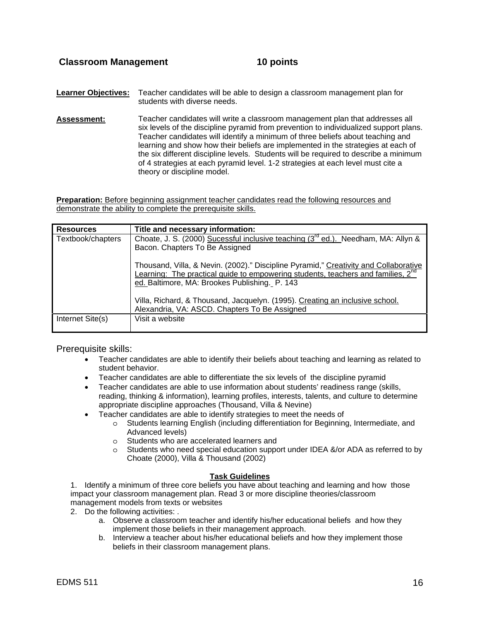**Learner Objectives:** Teacher candidates will be able to design a classroom management plan for students with diverse needs.

**Assessment:** Teacher candidates will write a classroom management plan that addresses all six levels of the discipline pyramid from prevention to individualized support plans. Teacher candidates will identify a minimum of three beliefs about teaching and learning and show how their beliefs are implemented in the strategies at each of the six different discipline levels. Students will be required to describe a minimum of 4 strategies at each pyramid level. 1-2 strategies at each level must cite a theory or discipline model.

**Preparation:** Before beginning assignment teacher candidates read the following resources and demonstrate the ability to complete the prerequisite skills.

| <b>Resources</b>  | Title and necessary information:                                                                                                                                                                                                      |
|-------------------|---------------------------------------------------------------------------------------------------------------------------------------------------------------------------------------------------------------------------------------|
| Textbook/chapters | Choate, J. S. (2000) Sucessful inclusive teaching (3 <sup>rd</sup> ed.). Needham, MA: Allyn &                                                                                                                                         |
|                   | Bacon. Chapters To Be Assigned                                                                                                                                                                                                        |
|                   | Thousand, Villa, & Nevin. (2002)." Discipline Pyramid," Creativity and Collaborative<br>Learning: The practical guide to empowering students, teachers and families, 2 <sup>nd</sup><br>ed. Baltimore, MA: Brookes Publishing. P. 143 |
|                   | Villa, Richard, & Thousand, Jacquelyn. (1995). Creating an inclusive school.<br>Alexandria, VA: ASCD. Chapters To Be Assigned                                                                                                         |
| Internet Site(s)  | Visit a website                                                                                                                                                                                                                       |

Prerequisite skills:

- Teacher candidates are able to identify their beliefs about teaching and learning as related to student behavior.
- Teacher candidates are able to differentiate the six levels of the discipline pyramid
- Teacher candidates are able to use information about students' readiness range (skills, reading, thinking & information), learning profiles, interests, talents, and culture to determine appropriate discipline approaches (Thousand, Villa & Nevine)
- Teacher candidates are able to identify strategies to meet the needs of
	- o Students learning English (including differentiation for Beginning, Intermediate, and Advanced levels)
	- o Students who are accelerated learners and
	- $\circ$  Students who need special education support under IDEA &/or ADA as referred to by Choate (2000), Villa & Thousand (2002)

#### **Task Guidelines**

1. Identify a minimum of three core beliefs you have about teaching and learning and how those impact your classroom management plan. Read 3 or more discipline theories/classroom management models from texts or websites

- 2. Do the following activities: .
	- a. Observe a classroom teacher and identify his/her educational beliefs and how they implement those beliefs in their management approach.
	- b. Interview a teacher about his/her educational beliefs and how they implement those beliefs in their classroom management plans.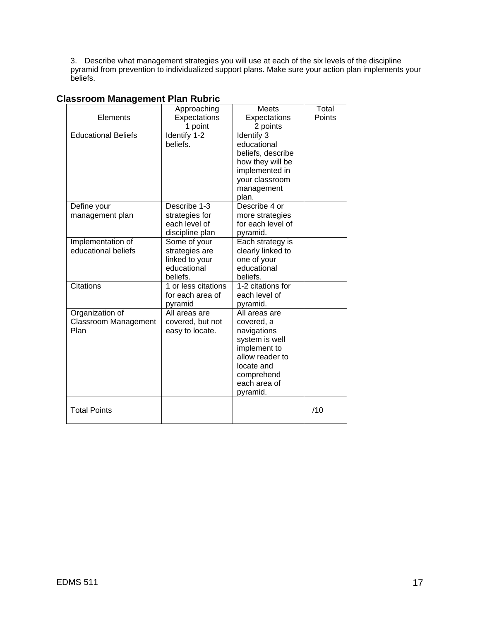3. Describe what management strategies you will use at each of the six levels of the discipline pyramid from prevention to individualized support plans. Make sure your action plan implements your beliefs.

|                             | Approaching         | <b>Meets</b>                    | Total  |
|-----------------------------|---------------------|---------------------------------|--------|
| Elements                    | Expectations        | Expectations                    | Points |
|                             | 1 point             | 2 points                        |        |
| <b>Educational Beliefs</b>  | Identify 1-2        | Identify 3                      |        |
|                             | beliefs.            | educational                     |        |
|                             |                     | beliefs, describe               |        |
|                             |                     | how they will be                |        |
|                             |                     | implemented in                  |        |
|                             |                     | your classroom                  |        |
|                             |                     | management                      |        |
|                             |                     | plan.                           |        |
| Define your                 | Describe 1-3        | Describe 4 or                   |        |
| management plan             | strategies for      | more strategies                 |        |
|                             | each level of       | for each level of               |        |
|                             | discipline plan     | pyramid.                        |        |
| Implementation of           | Some of your        | Each strategy is                |        |
| educational beliefs         | strategies are      | clearly linked to               |        |
|                             | linked to your      | one of your                     |        |
|                             | educational         | educational                     |        |
|                             | beliefs.            | beliefs.                        |        |
| <b>Citations</b>            | 1 or less citations | 1-2 citations for               |        |
|                             | for each area of    | each level of                   |        |
|                             | pyramid             | pyramid.                        |        |
| Organization of             | All areas are       | All areas are                   |        |
| <b>Classroom Management</b> | covered, but not    | covered, a                      |        |
| Plan                        | easy to locate.     | navigations                     |        |
|                             |                     | system is well                  |        |
|                             |                     | implement to<br>allow reader to |        |
|                             |                     | locate and                      |        |
|                             |                     | comprehend                      |        |
|                             |                     | each area of                    |        |
|                             |                     | pyramid.                        |        |
|                             |                     |                                 |        |
| <b>Total Points</b>         |                     |                                 | /10    |
|                             |                     |                                 |        |

# **Classroom Management Plan Rubric**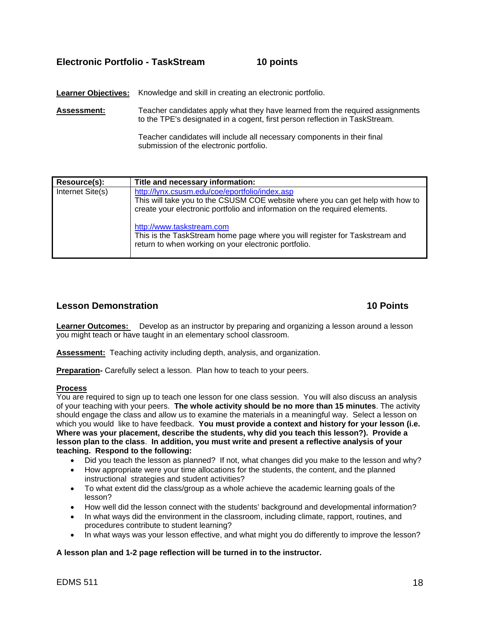# **Electronic Portfolio - TaskStream 10 points**

Learner Objectives: Knowledge and skill in creating an electronic portfolio.

**Assessment:** Teacher candidates apply what they have learned from the required assignments to the TPE's designated in a cogent, first person reflection in TaskStream.

> Teacher candidates will include all necessary components in their final submission of the electronic portfolio.

| Resource(s):     | Title and necessary information:                                                                                                                                                                               |
|------------------|----------------------------------------------------------------------------------------------------------------------------------------------------------------------------------------------------------------|
| Internet Site(s) | http://lynx.csusm.edu/coe/eportfolio/index.asp<br>This will take you to the CSUSM COE website where you can get help with how to<br>create your electronic portfolio and information on the required elements. |
|                  | http://www.taskstream.com<br>This is the TaskStream home page where you will register for Taskstream and<br>return to when working on your electronic portfolio.                                               |

### **Lesson Demonstration 10 Points**

**Learner Outcomes:** Develop as an instructor by preparing and organizing a lesson around a lesson you might teach or have taught in an elementary school classroom.

**Assessment:** Teaching activity including depth, analysis, and organization.

**Preparation-** Carefully select a lesson. Plan how to teach to your peers.

#### **Process**

You are required to sign up to teach one lesson for one class session. You will also discuss an analysis of your teaching with your peers. **The whole activity should be no more than 15 minutes**. The activity should engage the class and allow us to examine the materials in a meaningful way. Select a lesson on which you would like to have feedback. **You must provide a context and history for your lesson (i.e. Where was your placement, describe the students, why did you teach this lesson?). Provide a lesson plan to the class**. **In addition, you must write and present a reflective analysis of your teaching. Respond to the following:**

- Did you teach the lesson as planned? If not, what changes did you make to the lesson and why?
- How appropriate were your time allocations for the students, the content, and the planned instructional strategies and student activities?
- To what extent did the class/group as a whole achieve the academic learning goals of the lesson?
- How well did the lesson connect with the students' background and developmental information?
- In what ways did the environment in the classroom, including climate, rapport, routines, and procedures contribute to student learning?
- In what ways was your lesson effective, and what might you do differently to improve the lesson?

#### **A lesson plan and 1-2 page reflection will be turned in to the instructor.**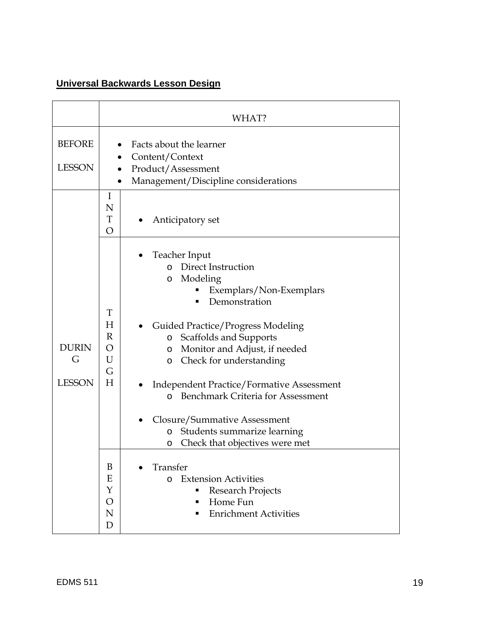# **Universal Backwards Lesson Design**

|                                    | WHAT?                                                                                                                 |                                                                                                                                                                                                                                                                                                                                                                                                                                                                                                        |  |  |  |
|------------------------------------|-----------------------------------------------------------------------------------------------------------------------|--------------------------------------------------------------------------------------------------------------------------------------------------------------------------------------------------------------------------------------------------------------------------------------------------------------------------------------------------------------------------------------------------------------------------------------------------------------------------------------------------------|--|--|--|
| <b>BEFORE</b><br><b>LESSON</b>     | Facts about the learner<br>Content/Context<br>Product/Assessment<br>Management/Discipline considerations<br>$\bullet$ |                                                                                                                                                                                                                                                                                                                                                                                                                                                                                                        |  |  |  |
| <b>DURIN</b><br>G<br><b>LESSON</b> | I<br>N<br>T<br>O                                                                                                      | Anticipatory set                                                                                                                                                                                                                                                                                                                                                                                                                                                                                       |  |  |  |
|                                    | T<br>H<br>$\mathbb R$<br>O<br>U<br>G<br>H                                                                             | Teacher Input<br>Direct Instruction<br>$\Omega$<br>Modeling<br>O<br>Exemplars/Non-Exemplars<br>Demonstration<br><b>Guided Practice/Progress Modeling</b><br>Scaffolds and Supports<br>$\circ$<br>Monitor and Adjust, if needed<br>O<br>Check for understanding<br>$\circ$<br><b>Independent Practice/Formative Assessment</b><br><b>Benchmark Criteria for Assessment</b><br>$\Omega$<br>Closure/Summative Assessment<br>Students summarize learning<br>$\circ$<br>Check that objectives were met<br>O |  |  |  |
|                                    | B<br>Ε<br>Y<br>O<br>N<br>D                                                                                            | Transfer<br><b>Extension Activities</b><br>$\Omega$<br><b>Research Projects</b><br>Home Fun<br><b>Enrichment Activities</b><br>٠                                                                                                                                                                                                                                                                                                                                                                       |  |  |  |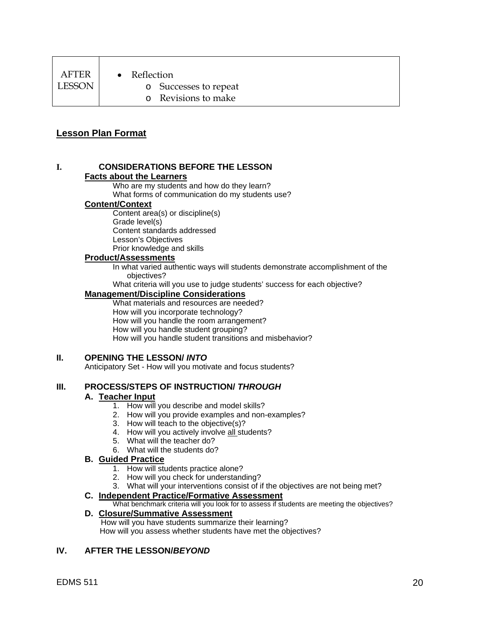| AFTER  |
|--------|
| LESSON |

- Reflection
	- o Successes to repeat
	- o Revisions to make

# **Lesson Plan Format**

#### **I. CONSIDERATIONS BEFORE THE LESSON Facts about the Learners**

Who are my students and how do they learn? What forms of communication do my students use?

#### **Content/Context**

Content area(s) or discipline(s) Grade level(s) Content standards addressed Lesson's Objectives Prior knowledge and skills

#### **Product/Assessments**

In what varied authentic ways will students demonstrate accomplishment of the objectives?

What criteria will you use to judge students' success for each objective?

#### **Management/Discipline Considerations**

What materials and resources are needed? How will you incorporate technology? How will you handle the room arrangement? How will you handle student grouping? How will you handle student transitions and misbehavior?

#### **II. OPENING THE LESSON/** *INTO*

Anticipatory Set - How will you motivate and focus students?

#### **III. PROCESS/STEPS OF INSTRUCTION/** *THROUGH*

#### **A. Teacher Input**

- 1. How will you describe and model skills?
- 2. How will you provide examples and non-examples?
- 3. How will teach to the objective(s)?
- 4. How will you actively involve all students?
- 5. What will the teacher do?
- 6. What will the students do?

#### **B. Guided Practice**

- 1. How will students practice alone?
- 2. How will you check for understanding?
- 3. What will your interventions consist of if the objectives are not being met?

#### **C. Independent Practice/Formative Assessment**

What benchmark criteria will you look for to assess if students are meeting the objectives?

# **D. Closure/Summative Assessment**

 How will you have students summarize their learning? How will you assess whether students have met the objectives?

# **IV. AFTER THE LESSON/***BEYOND*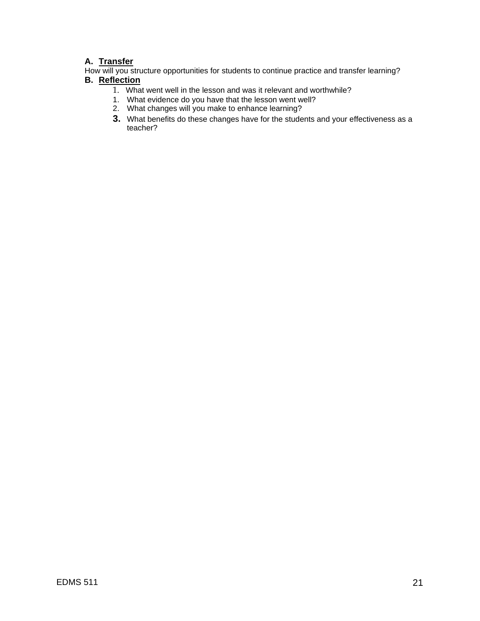# **A. Transfer**

How will you structure opportunities for students to continue practice and transfer learning? **B. Reflection**

- 1. What went well in the lesson and was it relevant and worthwhile?
- 1. What evidence do you have that the lesson went well?
- 2. What changes will you make to enhance learning?
- **3.** What benefits do these changes have for the students and your effectiveness as a teacher?